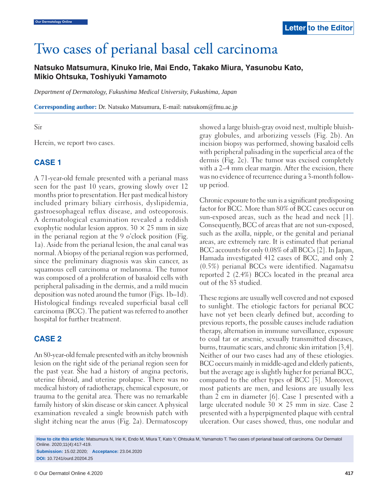# Two cases of perianal basal cell carcinoma

# **Natsuko Matsumura, Kinuko Irie, Mai Endo, Takako Miura, Yasunobu Kato, Mikio Ohtsuka, Toshiyuki Yamamoto**

*Department of Dermatology, Fukushima Medical University, Fukushima, Japan*

**Corresponding author:** Dr. Natsuko Matsumura, E-mail: natsukom@fmu.ac.jp

Sir

Herein, we report two cases.

## **CASE 1**

A 71-year-old female presented with a perianal mass seen for the past 10 years, growing slowly over 12 months prior to presentation. Her past medical history included primary biliary cirrhosis, dyslipidemia, gastroesophageal reflux disease, and osteoporosis. A dermatological examination revealed a reddish exophytic nodular lesion approx.  $30 \times 25$  mm in size in the perianal region at the 9 o'clock position (Fig. 1a). Aside from the perianal lesion, the anal canal was normal. A biopsy of the perianal region was performed, since the preliminary diagnosis was skin cancer, as squamous cell carcinoma or melanoma. The tumor was composed of a proliferation of basaloid cells with peripheral palisading in the dermis, and a mild mucin deposition was noted around the tumor (Figs. 1b–1d). Histological findings revealed superficial basal cell carcinoma (BCC). The patient was referred to another hospital for further treatment.

## **CASE 2**

An 80-year-old female presented with an itchy brownish lesion on the right side of the perianal region seen for the past year. She had a history of angina pectoris, uterine fibroid, and uterine prolapse. There was no medical history of radiotherapy, chemical exposure, or trauma to the genital area. There was no remarkable family history of skin disease or skin cancer. A physical examination revealed a single brownish patch with slight itching near the anus (Fig. 2a). Dermatoscopy

showed a large bluish-gray ovoid nest, multiple bluishgray globules, and arborizing vessels (Fig. 2b). An incision biopsy was performed, showing basaloid cells with peripheral palisading in the superficial area of the dermis (Fig. 2c). The tumor was excised completely with a 2–4 mm clear margin. After the excision, there was no evidence of recurrence during a 3-month followup period.

Chronic exposure to the sun is a significant predisposing factor for BCC. More than 80% of BCC cases occur on sun-exposed areas, such as the head and neck [1]. Consequently, BCC of areas that are not sun-exposed, such as the axilla, nipple, or the genital and perianal areas, are extremely rare. It is estimated that perianal BCC accounts for only 0.08% of all BCCs [2]. In Japan, Hamada investigated 412 cases of BCC, and only 2 (0.5%) perianal BCCs were identified. Nagamatsu reported 2 (2.4%) BCCs located in the preanal area out of the 83 studied.

These regions are usually well covered and not exposed to sunlight. The etiologic factors for perianal BCC have not yet been clearly defined but, according to previous reports, the possible causes include radiation therapy, alternation in immune surveillance, exposure to coal tar or arsenic, sexually transmitted diseases, burns, traumatic scars, and chronic skin irritation [3,4]. Neither of our two cases had any of these etiologies. BCC occurs mainly in middle-aged and elderly patients, but the average age is slightly higher for perianal BCC, compared to the other types of BCC [5]. Moreover, most patients are men, and lesions are usually less than 2 cm in diameter [6]. Case 1 presented with a large ulcerated nodule  $30 \times 25$  mm in size. Case 2 presented with a hyperpigmented plaque with central ulceration. Our cases showed, thus, one nodular and

**How to cite this article:** Matsumura N, Irie K, Endo M, Miura T, Kato Y, Ohtsuka M, Yamamoto T. Two cases of perianal basal cell carcinoma. Our Dermatol Online. 2020;11(4):417-419. **Submission:** 15.02.2020; **Acceptance:** 23.04.2020

**DOI:** 10.7241/ourd.20204.25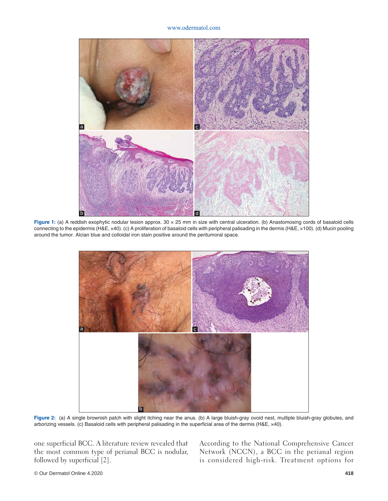#### www.odermatol.com



Figure 1: (a) A reddish exophytic nodular lesion approx. 30 x 25 mm in size with central ulceration. (b) Anastomosing cords of basaloid cells connecting to the epidermis (H&E, ×40). (c) A proliferation of basaloid cells with peripheral palisading in the dermis (H&E, ×100). (d) Mucin pooling around the tumor. Alcian blue and colloidal iron stain positive around the peritumoral space.



**Figure 2:** (a) A single brownish patch with slight itching near the anus. (b) A large bluish-gray ovoid nest, multiple bluish-gray globules, and arborizing vessels. (c) Basaloid cells with peripheral palisading in the superficial area of the dermis (H&E, x40).

one superficial BCC. A literature review revealed that the most common type of perianal BCC is nodular, followed by superficial [2].

According to the National Comprehensive Cancer Network (NCCN), a BCC in the perianal region is considered high-risk. Treatment options for